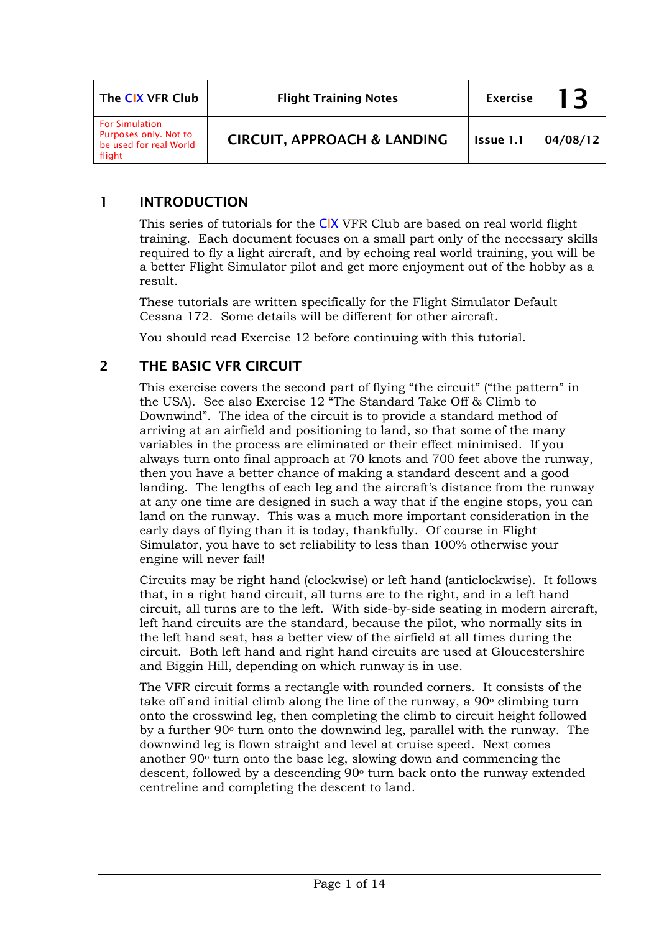| The CIX VFR Club                                                                   | <b>Flight Training Notes</b>           | <b>Exercise</b> | 13       |
|------------------------------------------------------------------------------------|----------------------------------------|-----------------|----------|
| <b>For Simulation</b><br>Purposes only. Not to<br>be used for real World<br>flight | <b>CIRCUIT, APPROACH &amp; LANDING</b> | Issue 1.1       | 04/08/12 |

### 1 INTRODUCTION

This series of tutorials for the CIX VFR Club are based on real world flight training. Each document focuses on a small part only of the necessary skills required to fly a light aircraft, and by echoing real world training, you will be a better Flight Simulator pilot and get more enjoyment out of the hobby as a result.

These tutorials are written specifically for the Flight Simulator Default Cessna 172. Some details will be different for other aircraft.

You should read Exercise 12 before continuing with this tutorial.

# 2 THE BASIC VFR CIRCUIT

This exercise covers the second part of flying "the circuit" ("the pattern" in the USA). See also Exercise 12 "The Standard Take Off & Climb to Downwind". The idea of the circuit is to provide a standard method of arriving at an airfield and positioning to land, so that some of the many variables in the process are eliminated or their effect minimised. If you always turn onto final approach at 70 knots and 700 feet above the runway, then you have a better chance of making a standard descent and a good landing. The lengths of each leg and the aircraft's distance from the runway at any one time are designed in such a way that if the engine stops, you can land on the runway. This was a much more important consideration in the early days of flying than it is today, thankfully. Of course in Flight Simulator, you have to set reliability to less than 100% otherwise your engine will never fail!

Circuits may be right hand (clockwise) or left hand (anticlockwise). It follows that, in a right hand circuit, all turns are to the right, and in a left hand circuit, all turns are to the left. With side-by-side seating in modern aircraft, left hand circuits are the standard, because the pilot, who normally sits in the left hand seat, has a better view of the airfield at all times during the circuit. Both left hand and right hand circuits are used at Gloucestershire and Biggin Hill, depending on which runway is in use.

The VFR circuit forms a rectangle with rounded corners. It consists of the take off and initial climb along the line of the runway, a 90o climbing turn onto the crosswind leg, then completing the climb to circuit height followed by a further 90o turn onto the downwind leg, parallel with the runway. The downwind leg is flown straight and level at cruise speed. Next comes another 90o turn onto the base leg, slowing down and commencing the descent, followed by a descending 90<sup>°</sup> turn back onto the runway extended centreline and completing the descent to land.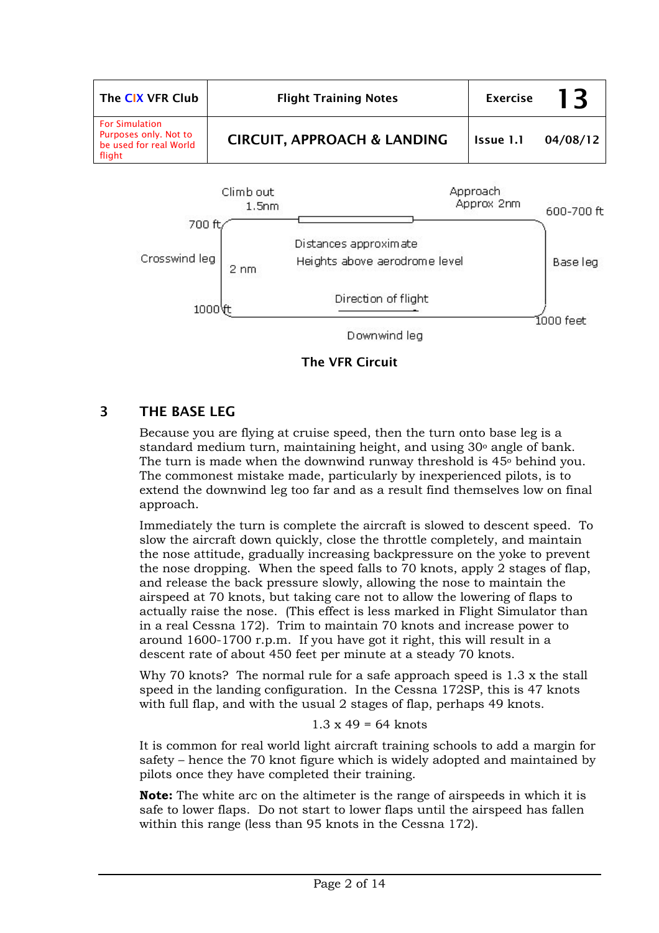| The CIX VFR Club                                                                   | <b>Flight Training Notes</b>           | <b>Exercise</b> | 13       |
|------------------------------------------------------------------------------------|----------------------------------------|-----------------|----------|
| <b>For Simulation</b><br>Purposes only. Not to<br>be used for real World<br>flight | <b>CIRCUIT, APPROACH &amp; LANDING</b> | Issue 1.1       | 04/08/12 |



The VFR Circuit

# 3 THE BASE LEG

Because you are flying at cruise speed, then the turn onto base leg is a standard medium turn, maintaining height, and using 30° angle of bank. The turn is made when the downwind runway threshold is  $45\degree$  behind you. The commonest mistake made, particularly by inexperienced pilots, is to extend the downwind leg too far and as a result find themselves low on final approach.

Immediately the turn is complete the aircraft is slowed to descent speed. To slow the aircraft down quickly, close the throttle completely, and maintain the nose attitude, gradually increasing backpressure on the yoke to prevent the nose dropping. When the speed falls to 70 knots, apply 2 stages of flap, and release the back pressure slowly, allowing the nose to maintain the airspeed at 70 knots, but taking care not to allow the lowering of flaps to actually raise the nose. (This effect is less marked in Flight Simulator than in a real Cessna 172). Trim to maintain 70 knots and increase power to around 1600-1700 r.p.m. If you have got it right, this will result in a descent rate of about 450 feet per minute at a steady 70 knots.

Why 70 knots? The normal rule for a safe approach speed is 1.3 x the stall speed in the landing configuration. In the Cessna 172SP, this is 47 knots with full flap, and with the usual 2 stages of flap, perhaps 49 knots.

#### $1.3 \times 49 = 64$  knots

It is common for real world light aircraft training schools to add a margin for safety – hence the 70 knot figure which is widely adopted and maintained by pilots once they have completed their training.

**Note:** The white arc on the altimeter is the range of airspeeds in which it is safe to lower flaps. Do not start to lower flaps until the airspeed has fallen within this range (less than 95 knots in the Cessna 172).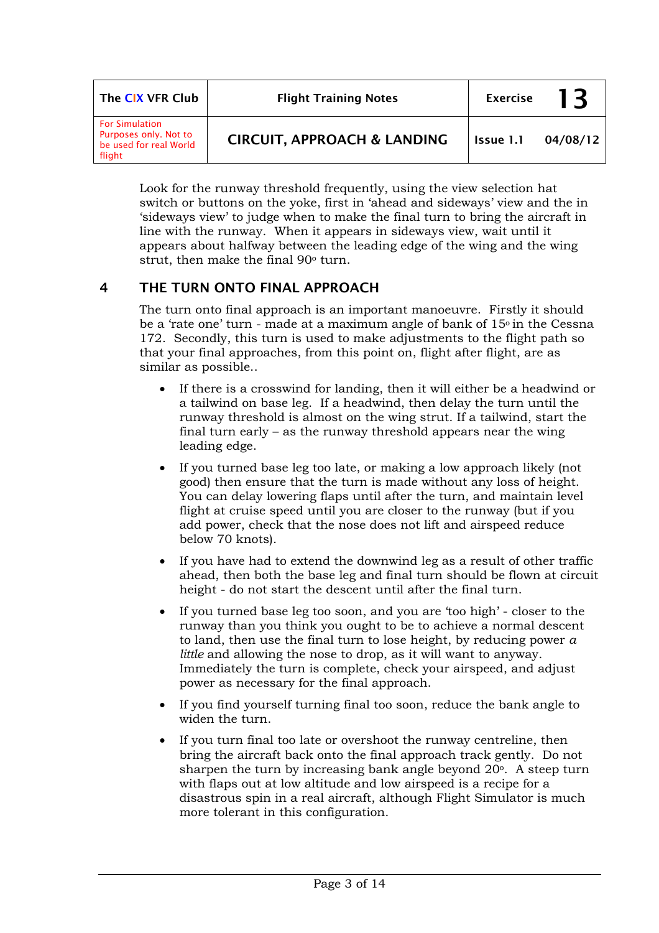| The CIX VFR Club                                                                   | <b>Flight Training Notes</b>           | <b>Exercise</b> | 13       |
|------------------------------------------------------------------------------------|----------------------------------------|-----------------|----------|
| <b>For Simulation</b><br>Purposes only. Not to<br>be used for real World<br>flight | <b>CIRCUIT, APPROACH &amp; LANDING</b> | Issue 1.1       | 04/08/12 |

Look for the runway threshold frequently, using the view selection hat switch or buttons on the yoke, first in 'ahead and sideways' view and the in 'sideways view' to judge when to make the final turn to bring the aircraft in line with the runway. When it appears in sideways view, wait until it appears about halfway between the leading edge of the wing and the wing strut, then make the final 90<sup>°</sup> turn.

# 4 THE TURN ONTO FINAL APPROACH

The turn onto final approach is an important manoeuvre. Firstly it should be a 'rate one' turn - made at a maximum angle of bank of  $15<sup>o</sup>$  in the Cessna 172. Secondly, this turn is used to make adjustments to the flight path so that your final approaches, from this point on, flight after flight, are as similar as possible..

- If there is a crosswind for landing, then it will either be a headwind or a tailwind on base leg. If a headwind, then delay the turn until the runway threshold is almost on the wing strut. If a tailwind, start the final turn early – as the runway threshold appears near the wing leading edge.
- If you turned base leg too late, or making a low approach likely (not good) then ensure that the turn is made without any loss of height. You can delay lowering flaps until after the turn, and maintain level flight at cruise speed until you are closer to the runway (but if you add power, check that the nose does not lift and airspeed reduce below 70 knots).
- If you have had to extend the downwind leg as a result of other traffic ahead, then both the base leg and final turn should be flown at circuit height - do not start the descent until after the final turn.
- If you turned base leg too soon, and you are 'too high' closer to the runway than you think you ought to be to achieve a normal descent to land, then use the final turn to lose height, by reducing power *a little* and allowing the nose to drop, as it will want to anyway. Immediately the turn is complete, check your airspeed, and adjust power as necessary for the final approach.
- If you find yourself turning final too soon, reduce the bank angle to widen the turn.
- If you turn final too late or overshoot the runway centreline, then bring the aircraft back onto the final approach track gently. Do not sharpen the turn by increasing bank angle beyond 20<sup>o</sup>. A steep turn with flaps out at low altitude and low airspeed is a recipe for a disastrous spin in a real aircraft, although Flight Simulator is much more tolerant in this configuration.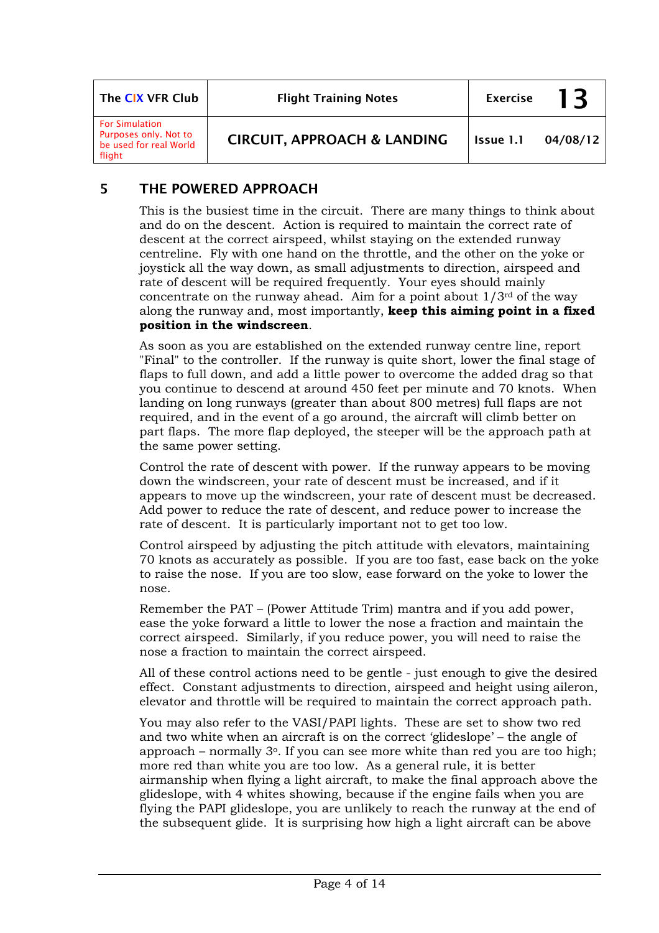| The CIX VFR Club                                                                   | <b>Flight Training Notes</b>           | <b>Exercise</b> | 13       |
|------------------------------------------------------------------------------------|----------------------------------------|-----------------|----------|
| <b>For Simulation</b><br>Purposes only. Not to<br>be used for real World<br>flight | <b>CIRCUIT, APPROACH &amp; LANDING</b> | Issue 1.1       | 04/08/12 |

### 5 THE POWERED APPROACH

This is the busiest time in the circuit. There are many things to think about and do on the descent. Action is required to maintain the correct rate of descent at the correct airspeed, whilst staying on the extended runway centreline. Fly with one hand on the throttle, and the other on the yoke or joystick all the way down, as small adjustments to direction, airspeed and rate of descent will be required frequently. Your eyes should mainly concentrate on the runway ahead. Aim for a point about  $1/3^{rd}$  of the way along the runway and, most importantly, **keep this aiming point in a fixed position in the windscreen**.

As soon as you are established on the extended runway centre line, report "Final" to the controller. If the runway is quite short, lower the final stage of flaps to full down, and add a little power to overcome the added drag so that you continue to descend at around 450 feet per minute and 70 knots. When landing on long runways (greater than about 800 metres) full flaps are not required, and in the event of a go around, the aircraft will climb better on part flaps. The more flap deployed, the steeper will be the approach path at the same power setting.

Control the rate of descent with power. If the runway appears to be moving down the windscreen, your rate of descent must be increased, and if it appears to move up the windscreen, your rate of descent must be decreased. Add power to reduce the rate of descent, and reduce power to increase the rate of descent. It is particularly important not to get too low.

Control airspeed by adjusting the pitch attitude with elevators, maintaining 70 knots as accurately as possible. If you are too fast, ease back on the yoke to raise the nose. If you are too slow, ease forward on the yoke to lower the nose.

Remember the PAT – (Power Attitude Trim) mantra and if you add power, ease the yoke forward a little to lower the nose a fraction and maintain the correct airspeed. Similarly, if you reduce power, you will need to raise the nose a fraction to maintain the correct airspeed.

All of these control actions need to be gentle - just enough to give the desired effect. Constant adjustments to direction, airspeed and height using aileron, elevator and throttle will be required to maintain the correct approach path.

You may also refer to the VASI/PAPI lights. These are set to show two red and two white when an aircraft is on the correct 'glideslope' – the angle of approach – normally  $3^\circ$ . If you can see more white than red you are too high; more red than white you are too low. As a general rule, it is better airmanship when flying a light aircraft, to make the final approach above the glideslope, with 4 whites showing, because if the engine fails when you are flying the PAPI glideslope, you are unlikely to reach the runway at the end of the subsequent glide. It is surprising how high a light aircraft can be above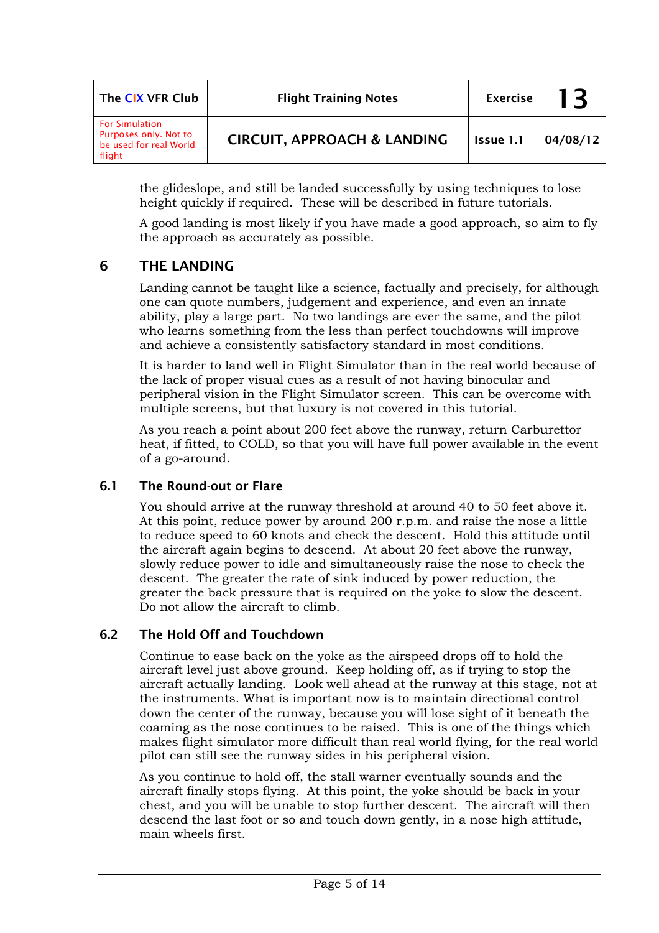| The CIX VFR Club                                                                   | <b>Flight Training Notes</b>           | <b>Exercise</b> | 13       |
|------------------------------------------------------------------------------------|----------------------------------------|-----------------|----------|
| <b>For Simulation</b><br>Purposes only. Not to<br>be used for real World<br>flight | <b>CIRCUIT, APPROACH &amp; LANDING</b> | Issue 1.1       | 04/08/12 |

the glideslope, and still be landed successfully by using techniques to lose height quickly if required. These will be described in future tutorials.

A good landing is most likely if you have made a good approach, so aim to fly the approach as accurately as possible.

### 6 THE LANDING

Landing cannot be taught like a science, factually and precisely, for although one can quote numbers, judgement and experience, and even an innate ability, play a large part. No two landings are ever the same, and the pilot who learns something from the less than perfect touchdowns will improve and achieve a consistently satisfactory standard in most conditions.

It is harder to land well in Flight Simulator than in the real world because of the lack of proper visual cues as a result of not having binocular and peripheral vision in the Flight Simulator screen. This can be overcome with multiple screens, but that luxury is not covered in this tutorial.

As you reach a point about 200 feet above the runway, return Carburettor heat, if fitted, to COLD, so that you will have full power available in the event of a go-around.

### 6.1 The Round-out or Flare

You should arrive at the runway threshold at around 40 to 50 feet above it. At this point, reduce power by around 200 r.p.m. and raise the nose a little to reduce speed to 60 knots and check the descent. Hold this attitude until the aircraft again begins to descend. At about 20 feet above the runway, slowly reduce power to idle and simultaneously raise the nose to check the descent. The greater the rate of sink induced by power reduction, the greater the back pressure that is required on the yoke to slow the descent. Do not allow the aircraft to climb.

### 6.2 The Hold Off and Touchdown

Continue to ease back on the yoke as the airspeed drops off to hold the aircraft level just above ground. Keep holding off, as if trying to stop the aircraft actually landing. Look well ahead at the runway at this stage, not at the instruments. What is important now is to maintain directional control down the center of the runway, because you will lose sight of it beneath the coaming as the nose continues to be raised. This is one of the things which makes flight simulator more difficult than real world flying, for the real world pilot can still see the runway sides in his peripheral vision.

As you continue to hold off, the stall warner eventually sounds and the aircraft finally stops flying. At this point, the yoke should be back in your chest, and you will be unable to stop further descent. The aircraft will then descend the last foot or so and touch down gently, in a nose high attitude, main wheels first.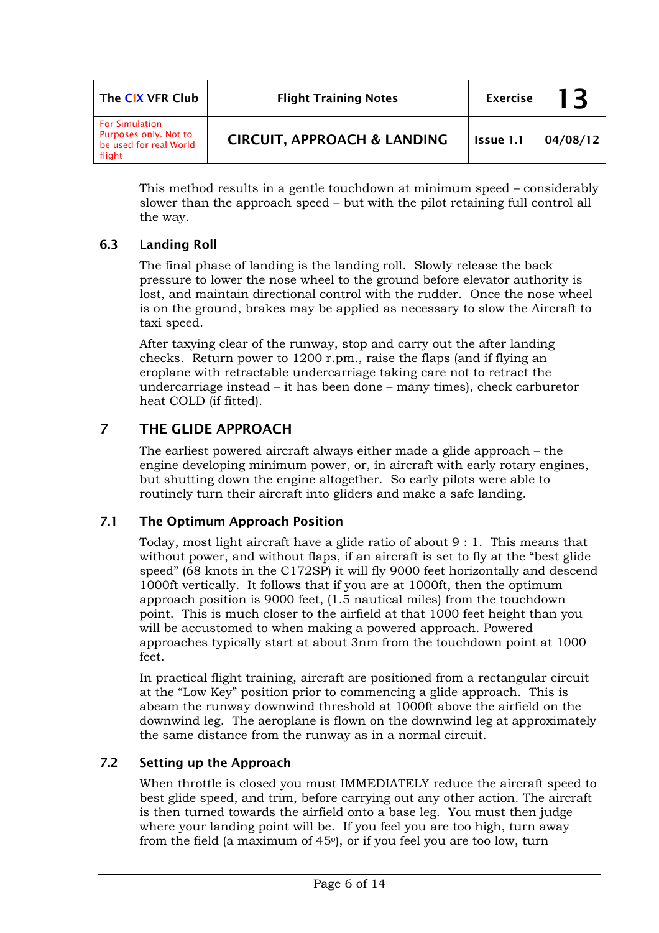| The CIX VFR Club                                                                   | <b>Flight Training Notes</b>           | <b>Exercise</b> | 13       |
|------------------------------------------------------------------------------------|----------------------------------------|-----------------|----------|
| <b>For Simulation</b><br>Purposes only. Not to<br>be used for real World<br>flight | <b>CIRCUIT, APPROACH &amp; LANDING</b> | Issue 1.1       | 04/08/12 |

This method results in a gentle touchdown at minimum speed – considerably slower than the approach speed – but with the pilot retaining full control all the way.

### 6.3 Landing Roll

The final phase of landing is the landing roll. Slowly release the back pressure to lower the nose wheel to the ground before elevator authority is lost, and maintain directional control with the rudder. Once the nose wheel is on the ground, brakes may be applied as necessary to slow the Aircraft to taxi speed.

After taxying clear of the runway, stop and carry out the after landing checks. Return power to 1200 r.pm., raise the flaps (and if flying an eroplane with retractable undercarriage taking care not to retract the undercarriage instead – it has been done – many times), check carburetor heat COLD (if fitted).

# 7 THE GLIDE APPROACH

The earliest powered aircraft always either made a glide approach – the engine developing minimum power, or, in aircraft with early rotary engines, but shutting down the engine altogether. So early pilots were able to routinely turn their aircraft into gliders and make a safe landing.

### 7.1 The Optimum Approach Position

Today, most light aircraft have a glide ratio of about 9 : 1. This means that without power, and without flaps, if an aircraft is set to fly at the "best glide speed" (68 knots in the C172SP) it will fly 9000 feet horizontally and descend 1000ft vertically. It follows that if you are at 1000ft, then the optimum approach position is 9000 feet, (1.5 nautical miles) from the touchdown point. This is much closer to the airfield at that 1000 feet height than you will be accustomed to when making a powered approach. Powered approaches typically start at about 3nm from the touchdown point at 1000 feet.

In practical flight training, aircraft are positioned from a rectangular circuit at the "Low Key" position prior to commencing a glide approach. This is abeam the runway downwind threshold at 1000ft above the airfield on the downwind leg. The aeroplane is flown on the downwind leg at approximately the same distance from the runway as in a normal circuit.

### 7.2 Setting up the Approach

When throttle is closed you must IMMEDIATELY reduce the aircraft speed to best glide speed, and trim, before carrying out any other action. The aircraft is then turned towards the airfield onto a base leg. You must then judge where your landing point will be. If you feel you are too high, turn away from the field (a maximum of  $45<sup>o</sup>$ ), or if you feel you are too low, turn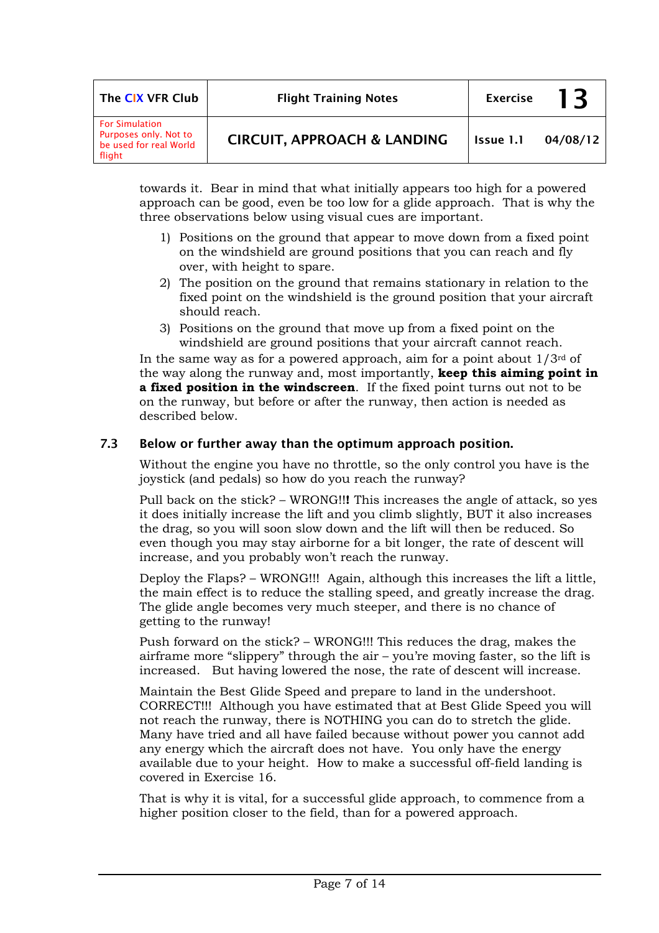| The CIX VFR Club                                                                   | <b>Flight Training Notes</b>           | <b>Exercise</b> | 13       |
|------------------------------------------------------------------------------------|----------------------------------------|-----------------|----------|
| <b>For Simulation</b><br>Purposes only. Not to<br>be used for real World<br>flight | <b>CIRCUIT, APPROACH &amp; LANDING</b> | Issue 1.1       | 04/08/12 |

towards it. Bear in mind that what initially appears too high for a powered approach can be good, even be too low for a glide approach. That is why the three observations below using visual cues are important.

- 1) Positions on the ground that appear to move down from a fixed point on the windshield are ground positions that you can reach and fly over, with height to spare.
- 2) The position on the ground that remains stationary in relation to the fixed point on the windshield is the ground position that your aircraft should reach.
- 3) Positions on the ground that move up from a fixed point on the windshield are ground positions that your aircraft cannot reach.

In the same way as for a powered approach, aim for a point about  $1/3^{rd}$  of the way along the runway and, most importantly, **keep this aiming point in a fixed position in the windscreen**. If the fixed point turns out not to be on the runway, but before or after the runway, then action is needed as described below.

### 7.3 Below or further away than the optimum approach position.

Without the engine you have no throttle, so the only control you have is the joystick (and pedals) so how do you reach the runway?

Pull back on the stick? – WRONG!!**!** This increases the angle of attack, so yes it does initially increase the lift and you climb slightly, BUT it also increases the drag, so you will soon slow down and the lift will then be reduced. So even though you may stay airborne for a bit longer, the rate of descent will increase, and you probably won't reach the runway.

Deploy the Flaps? – WRONG!!! Again, although this increases the lift a little, the main effect is to reduce the stalling speed, and greatly increase the drag. The glide angle becomes very much steeper, and there is no chance of getting to the runway!

Push forward on the stick? – WRONG!!! This reduces the drag, makes the airframe more "slippery" through the air – you're moving faster, so the lift is increased. But having lowered the nose, the rate of descent will increase.

Maintain the Best Glide Speed and prepare to land in the undershoot. CORRECT!!! Although you have estimated that at Best Glide Speed you will not reach the runway, there is NOTHING you can do to stretch the glide. Many have tried and all have failed because without power you cannot add any energy which the aircraft does not have. You only have the energy available due to your height. How to make a successful off-field landing is covered in Exercise 16.

That is why it is vital, for a successful glide approach, to commence from a higher position closer to the field, than for a powered approach.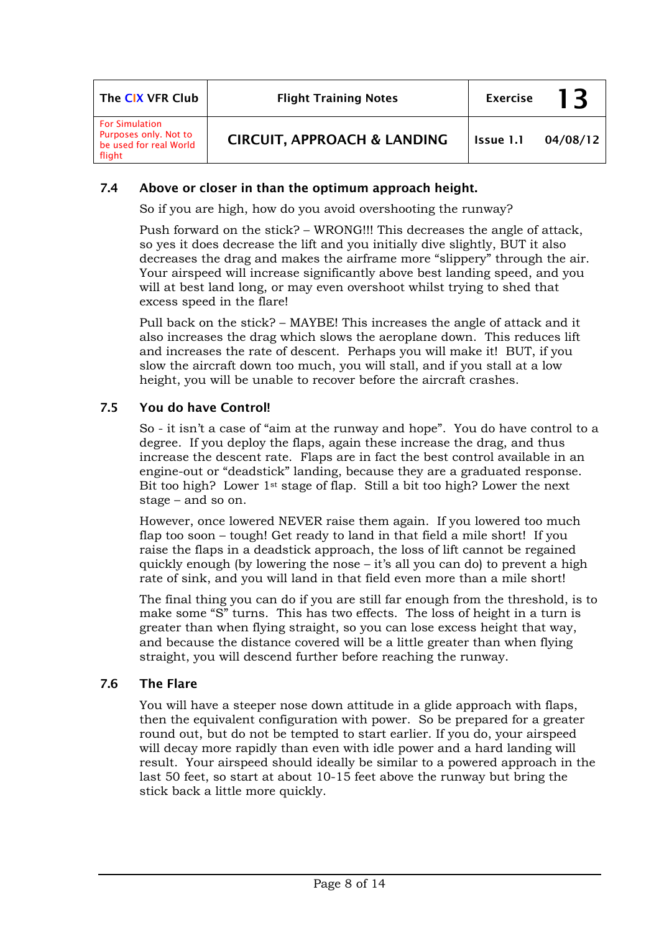| The CIX VFR Club                                                                   | <b>Flight Training Notes</b>           | <b>Exercise</b> | 13       |
|------------------------------------------------------------------------------------|----------------------------------------|-----------------|----------|
| <b>For Simulation</b><br>Purposes only. Not to<br>be used for real World<br>flight | <b>CIRCUIT, APPROACH &amp; LANDING</b> | Issue 1.1       | 04/08/12 |

### 7.4 Above or closer in than the optimum approach height.

So if you are high, how do you avoid overshooting the runway?

Push forward on the stick? – WRONG!!! This decreases the angle of attack, so yes it does decrease the lift and you initially dive slightly, BUT it also decreases the drag and makes the airframe more "slippery" through the air. Your airspeed will increase significantly above best landing speed, and you will at best land long, or may even overshoot whilst trying to shed that excess speed in the flare!

Pull back on the stick? – MAYBE! This increases the angle of attack and it also increases the drag which slows the aeroplane down. This reduces lift and increases the rate of descent. Perhaps you will make it! BUT, if you slow the aircraft down too much, you will stall, and if you stall at a low height, you will be unable to recover before the aircraft crashes.

### 7.5 You do have Control!

So - it isn't a case of "aim at the runway and hope". You do have control to a degree. If you deploy the flaps, again these increase the drag, and thus increase the descent rate. Flaps are in fact the best control available in an engine-out or "deadstick" landing, because they are a graduated response. Bit too high? Lower 1st stage of flap. Still a bit too high? Lower the next stage – and so on.

However, once lowered NEVER raise them again. If you lowered too much flap too soon – tough! Get ready to land in that field a mile short! If you raise the flaps in a deadstick approach, the loss of lift cannot be regained quickly enough (by lowering the nose – it's all you can do) to prevent a high rate of sink, and you will land in that field even more than a mile short!

The final thing you can do if you are still far enough from the threshold, is to make some "S" turns. This has two effects. The loss of height in a turn is greater than when flying straight, so you can lose excess height that way, and because the distance covered will be a little greater than when flying straight, you will descend further before reaching the runway.

### 7.6 The Flare

You will have a steeper nose down attitude in a glide approach with flaps, then the equivalent configuration with power. So be prepared for a greater round out, but do not be tempted to start earlier. If you do, your airspeed will decay more rapidly than even with idle power and a hard landing will result. Your airspeed should ideally be similar to a powered approach in the last 50 feet, so start at about 10-15 feet above the runway but bring the stick back a little more quickly.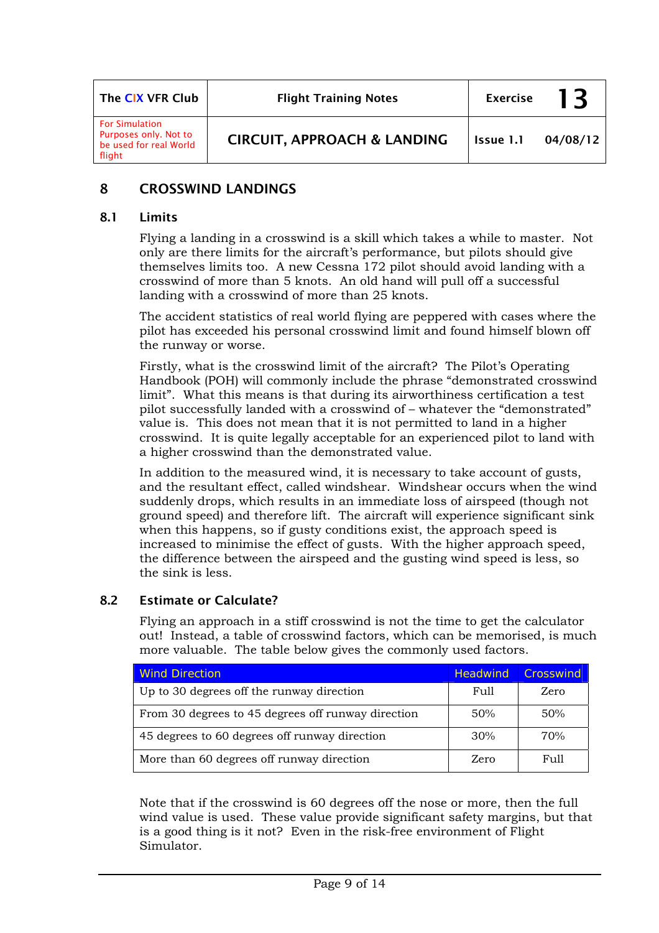| The CIX VFR Club                                                                   | <b>Flight Training Notes</b>           | <b>Exercise</b> | 13       |
|------------------------------------------------------------------------------------|----------------------------------------|-----------------|----------|
| <b>For Simulation</b><br>Purposes only. Not to<br>be used for real World<br>flight | <b>CIRCUIT, APPROACH &amp; LANDING</b> | Issue 1.1       | 04/08/12 |

# 8 CROSSWIND LANDINGS

#### 8.1 Limits

Flying a landing in a crosswind is a skill which takes a while to master. Not only are there limits for the aircraft's performance, but pilots should give themselves limits too. A new Cessna 172 pilot should avoid landing with a crosswind of more than 5 knots. An old hand will pull off a successful landing with a crosswind of more than 25 knots.

The accident statistics of real world flying are peppered with cases where the pilot has exceeded his personal crosswind limit and found himself blown off the runway or worse.

Firstly, what is the crosswind limit of the aircraft? The Pilot's Operating Handbook (POH) will commonly include the phrase "demonstrated crosswind limit". What this means is that during its airworthiness certification a test pilot successfully landed with a crosswind of – whatever the "demonstrated" value is. This does not mean that it is not permitted to land in a higher crosswind. It is quite legally acceptable for an experienced pilot to land with a higher crosswind than the demonstrated value.

In addition to the measured wind, it is necessary to take account of gusts, and the resultant effect, called windshear. Windshear occurs when the wind suddenly drops, which results in an immediate loss of airspeed (though not ground speed) and therefore lift. The aircraft will experience significant sink when this happens, so if gusty conditions exist, the approach speed is increased to minimise the effect of gusts. With the higher approach speed, the difference between the airspeed and the gusting wind speed is less, so the sink is less.

### 8.2 Estimate or Calculate?

Flying an approach in a stiff crosswind is not the time to get the calculator out! Instead, a table of crosswind factors, which can be memorised, is much more valuable. The table below gives the commonly used factors.

| <b>Wind Direction</b>                              | <b>Headwind</b> | <b>Crosswind</b> |
|----------------------------------------------------|-----------------|------------------|
| Up to 30 degrees off the runway direction          | Full            | Zero             |
| From 30 degrees to 45 degrees off runway direction | 50%             | 50%              |
| 45 degrees to 60 degrees off runway direction      | 30%             | 70%              |
| More than 60 degrees off runway direction          | Zero            | F111             |

Note that if the crosswind is 60 degrees off the nose or more, then the full wind value is used. These value provide significant safety margins, but that is a good thing is it not? Even in the risk-free environment of Flight Simulator.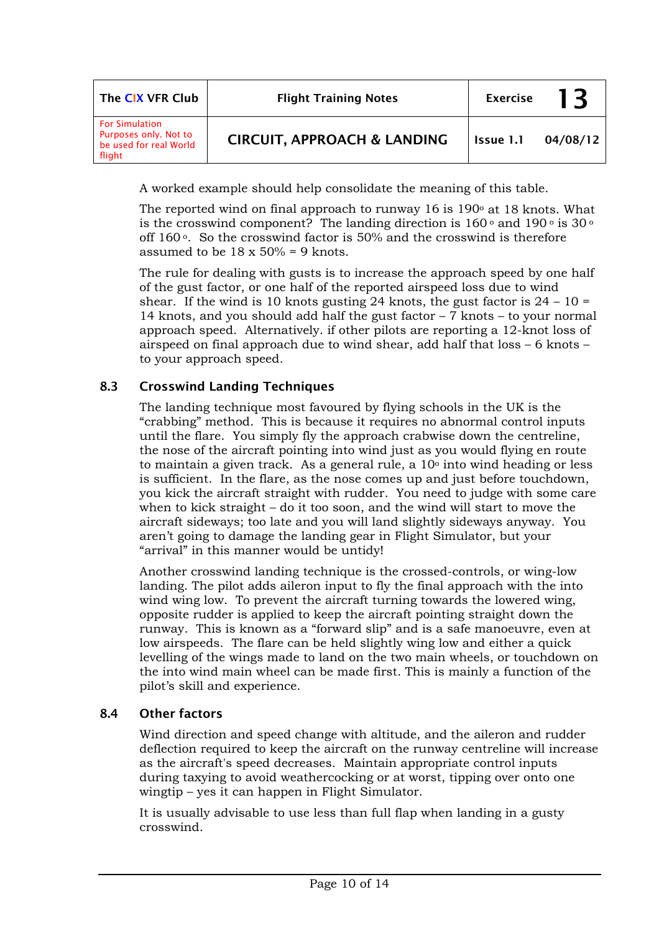| The CIX VFR Club                                                                   | <b>Flight Training Notes</b>           | <b>Exercise</b> | 13       |
|------------------------------------------------------------------------------------|----------------------------------------|-----------------|----------|
| <b>For Simulation</b><br>Purposes only. Not to<br>be used for real World<br>flight | <b>CIRCUIT, APPROACH &amp; LANDING</b> | Issue 1.1       | 04/08/12 |

A worked example should help consolidate the meaning of this table.

The reported wind on final approach to runway 16 is  $190<sup>o</sup>$  at 18 knots. What is the crosswind component? The landing direction is 160  $^{\rm o}$  and 190  $^{\rm o}$  is 30  $^{\rm o}$ off  $160^\circ$ . So the crosswind factor is 50% and the crosswind is therefore assumed to be  $18 \times 50\% = 9$  knots.

The rule for dealing with gusts is to increase the approach speed by one half of the gust factor, or one half of the reported airspeed loss due to wind shear. If the wind is 10 knots gusting 24 knots, the gust factor is  $24 - 10 =$ 14 knots, and you should add half the gust factor – 7 knots – to your normal approach speed. Alternatively. if other pilots are reporting a 12-knot loss of airspeed on final approach due to wind shear, add half that loss – 6 knots – to your approach speed.

### 8.3 Crosswind Landing Techniques

The landing technique most favoured by flying schools in the UK is the "crabbing" method. This is because it requires no abnormal control inputs until the flare. You simply fly the approach crabwise down the centreline, the nose of the aircraft pointing into wind just as you would flying en route to maintain a given track. As a general rule, a  $10<sup>o</sup>$  into wind heading or less is sufficient. In the flare, as the nose comes up and just before touchdown, you kick the aircraft straight with rudder. You need to judge with some care when to kick straight – do it too soon, and the wind will start to move the aircraft sideways; too late and you will land slightly sideways anyway. You aren't going to damage the landing gear in Flight Simulator, but your "arrival" in this manner would be untidy!

Another crosswind landing technique is the crossed-controls, or wing-low landing. The pilot adds aileron input to fly the final approach with the into wind wing low. To prevent the aircraft turning towards the lowered wing, opposite rudder is applied to keep the aircraft pointing straight down the runway. This is known as a "forward slip" and is a safe manoeuvre, even at low airspeeds. The flare can be held slightly wing low and either a quick levelling of the wings made to land on the two main wheels, or touchdown on the into wind main wheel can be made first. This is mainly a function of the pilot's skill and experience.

### 8.4 Other factors

Wind direction and speed change with altitude, and the aileron and rudder deflection required to keep the aircraft on the runway centreline will increase as the aircraft's speed decreases. Maintain appropriate control inputs during taxying to avoid weathercocking or at worst, tipping over onto one wingtip – yes it can happen in Flight Simulator.

It is usually advisable to use less than full flap when landing in a gusty crosswind.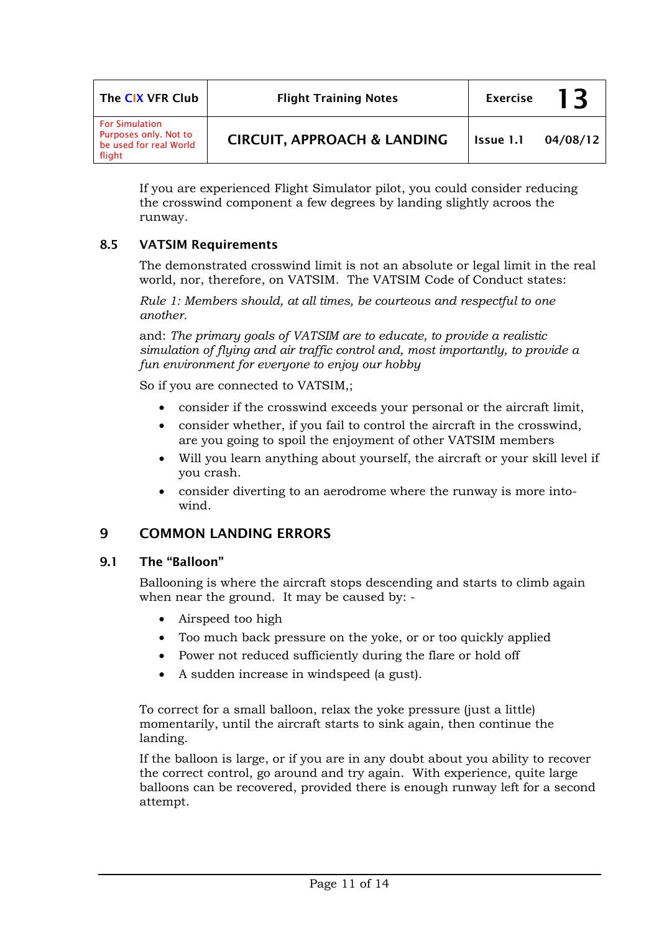| The CIX VFR Club                                                                   | <b>Flight Training Notes</b>           | <b>Exercise</b> | 13       |
|------------------------------------------------------------------------------------|----------------------------------------|-----------------|----------|
| <b>For Simulation</b><br>Purposes only. Not to<br>be used for real World<br>flight | <b>CIRCUIT, APPROACH &amp; LANDING</b> | Issue 1.1       | 04/08/12 |

If you are experienced Flight Simulator pilot, you could consider reducing the crosswind component a few degrees by landing slightly acroos the runway.

### 8.5 VATSIM Requirements

The demonstrated crosswind limit is not an absolute or legal limit in the real world, nor, therefore, on VATSIM. The VATSIM Code of Conduct states:

*Rule 1: Members should, at all times, be courteous and respectful to one another.* 

and: *The primary goals of VATSIM are to educate, to provide a realistic simulation of flying and air traffic control and, most importantly, to provide a fun environment for everyone to enjoy our hobby* 

So if you are connected to VATSIM,;

- consider if the crosswind exceeds your personal or the aircraft limit,
- consider whether, if you fail to control the aircraft in the crosswind, are you going to spoil the enjoyment of other VATSIM members
- Will you learn anything about yourself, the aircraft or your skill level if you crash.
- consider diverting to an aerodrome where the runway is more intowind.

### 9 COMMON LANDING ERRORS

#### 9.1 The "Balloon"

Ballooning is where the aircraft stops descending and starts to climb again when near the ground. It may be caused by: -

- Airspeed too high
- Too much back pressure on the yoke, or or too quickly applied
- Power not reduced sufficiently during the flare or hold off
- A sudden increase in windspeed (a gust).

To correct for a small balloon, relax the yoke pressure (just a little) momentarily, until the aircraft starts to sink again, then continue the landing.

If the balloon is large, or if you are in any doubt about you ability to recover the correct control, go around and try again. With experience, quite large balloons can be recovered, provided there is enough runway left for a second attempt.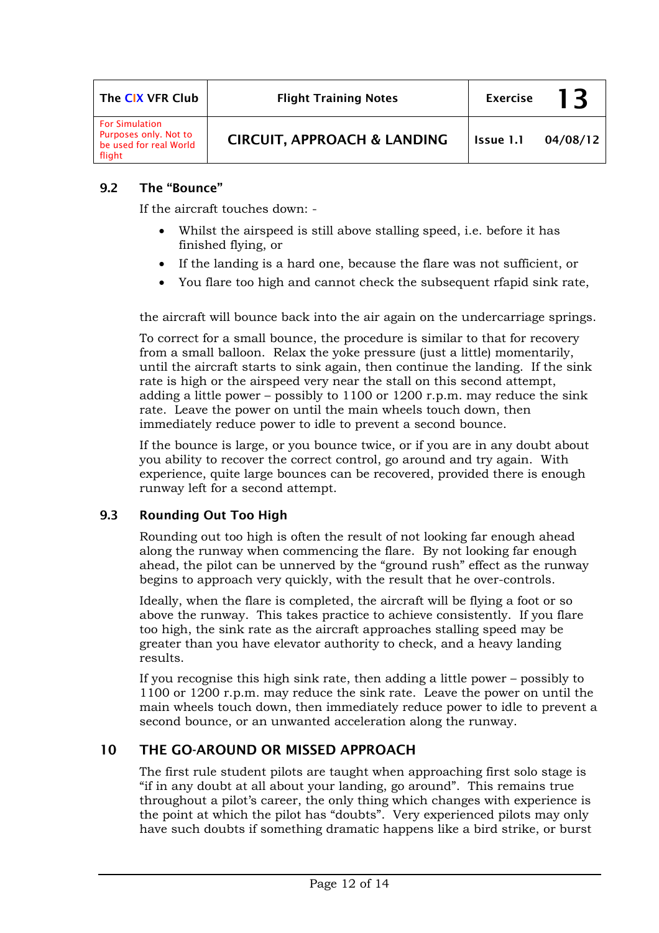| The CIX VFR Club                                                                   | <b>Flight Training Notes</b>           | <b>Exercise</b> | 13       |
|------------------------------------------------------------------------------------|----------------------------------------|-----------------|----------|
| <b>For Simulation</b><br>Purposes only. Not to<br>be used for real World<br>flight | <b>CIRCUIT, APPROACH &amp; LANDING</b> | Issue 1.1       | 04/08/12 |

### 9.2 The "Bounce"

If the aircraft touches down: -

- Whilst the airspeed is still above stalling speed, i.e. before it has finished flying, or
- If the landing is a hard one, because the flare was not sufficient, or
- You flare too high and cannot check the subsequent rfapid sink rate,

the aircraft will bounce back into the air again on the undercarriage springs.

To correct for a small bounce, the procedure is similar to that for recovery from a small balloon. Relax the yoke pressure (just a little) momentarily, until the aircraft starts to sink again, then continue the landing. If the sink rate is high or the airspeed very near the stall on this second attempt, adding a little power – possibly to  $1100$  or  $1200$  r.p.m. may reduce the sink rate. Leave the power on until the main wheels touch down, then immediately reduce power to idle to prevent a second bounce.

If the bounce is large, or you bounce twice, or if you are in any doubt about you ability to recover the correct control, go around and try again. With experience, quite large bounces can be recovered, provided there is enough runway left for a second attempt.

### 9.3 Rounding Out Too High

Rounding out too high is often the result of not looking far enough ahead along the runway when commencing the flare. By not looking far enough ahead, the pilot can be unnerved by the "ground rush" effect as the runway begins to approach very quickly, with the result that he over-controls.

Ideally, when the flare is completed, the aircraft will be flying a foot or so above the runway. This takes practice to achieve consistently. If you flare too high, the sink rate as the aircraft approaches stalling speed may be greater than you have elevator authority to check, and a heavy landing results.

If you recognise this high sink rate, then adding a little power – possibly to 1100 or 1200 r.p.m. may reduce the sink rate. Leave the power on until the main wheels touch down, then immediately reduce power to idle to prevent a second bounce, or an unwanted acceleration along the runway.

### 10 THE GO-AROUND OR MISSED APPROACH

The first rule student pilots are taught when approaching first solo stage is "if in any doubt at all about your landing, go around". This remains true throughout a pilot's career, the only thing which changes with experience is the point at which the pilot has "doubts". Very experienced pilots may only have such doubts if something dramatic happens like a bird strike, or burst